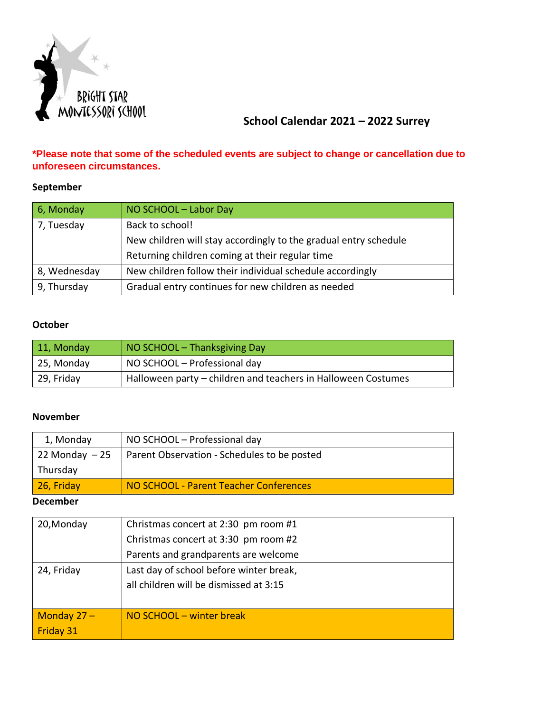

# **School Calendar 2021 – 2022 Surrey**

### **\*Please note that some of the scheduled events are subject to change or cancellation due to unforeseen circumstances.**

#### **September**

| 6, Monday    | NO SCHOOL - Labor Day                                            |
|--------------|------------------------------------------------------------------|
| 7, Tuesday   | Back to school!                                                  |
|              | New children will stay accordingly to the gradual entry schedule |
|              | Returning children coming at their regular time                  |
| 8, Wednesday | New children follow their individual schedule accordingly        |
| 9, Thursday  | Gradual entry continues for new children as needed               |

### **October**

| 11, Monday | NO SCHOOL - Thanksgiving Day                                  |
|------------|---------------------------------------------------------------|
| 25, Monday | NO SCHOOL - Professional day                                  |
| 29, Friday | Halloween party – children and teachers in Halloween Costumes |

### **November**

| 1, Monday         | NO SCHOOL - Professional day                |
|-------------------|---------------------------------------------|
| $22$ Monday $-25$ | Parent Observation - Schedules to be posted |
| Thursday          |                                             |
| 26, Friday        | NO SCHOOL - Parent Teacher Conferences      |

#### **December**

| 20, Monday       | Christmas concert at 2:30 pm room #1    |
|------------------|-----------------------------------------|
|                  | Christmas concert at 3:30 pm room #2    |
|                  | Parents and grandparents are welcome    |
| 24, Friday       | Last day of school before winter break, |
|                  | all children will be dismissed at 3:15  |
|                  |                                         |
| Monday $27 -$    | NO SCHOOL – winter break                |
| <b>Friday 31</b> |                                         |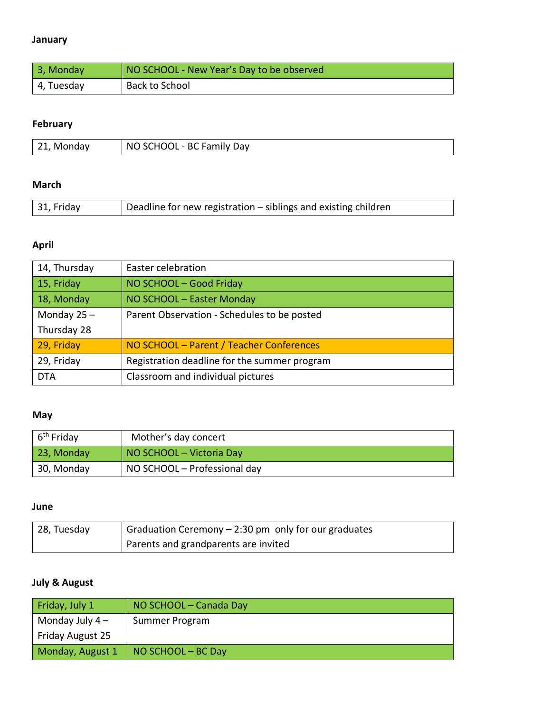### **January**

| 3, Monday  | NO SCHOOL - New Year's Day to be observed |
|------------|-------------------------------------------|
| 4, Tuesday | Back to School                            |

# **February**

| 21, Monday | NO SCHOOL - BC Family Day |
|------------|---------------------------|

## **March**

| 31, Friday | Deadline for new registration – siblings and existing children |
|------------|----------------------------------------------------------------|

# **April**

| 14, Thursday  | Easter celebration                           |
|---------------|----------------------------------------------|
| 15, Friday    | NO SCHOOL - Good Friday                      |
| 18, Monday    | NO SCHOOL - Easter Monday                    |
| Monday $25 -$ | Parent Observation - Schedules to be posted  |
| Thursday 28   |                                              |
| 29, Friday    | NO SCHOOL - Parent / Teacher Conferences     |
| 29, Friday    | Registration deadline for the summer program |
| <b>DTA</b>    | Classroom and individual pictures            |

### **May**

| $6th$ Friday | Mother's day concert         |
|--------------|------------------------------|
| 23, Monday   | NO SCHOOL – Victoria Day     |
| 30, Monday   | NO SCHOOL - Professional day |

#### **June**

| <sup>1</sup> 28, Tuesday | $\frac{1}{2}$ Graduation Ceremony – 2:30 pm only for our graduates |
|--------------------------|--------------------------------------------------------------------|
|                          | Parents and grandparents are invited                               |

# **July & August**

| Friday, July 1   | NO SCHOOL – Canada Day     |
|------------------|----------------------------|
| Monday July $4-$ | Summer Program             |
| Friday August 25 |                            |
| Monday, August 1 | $\vert$ NO SCHOOL – BC Day |